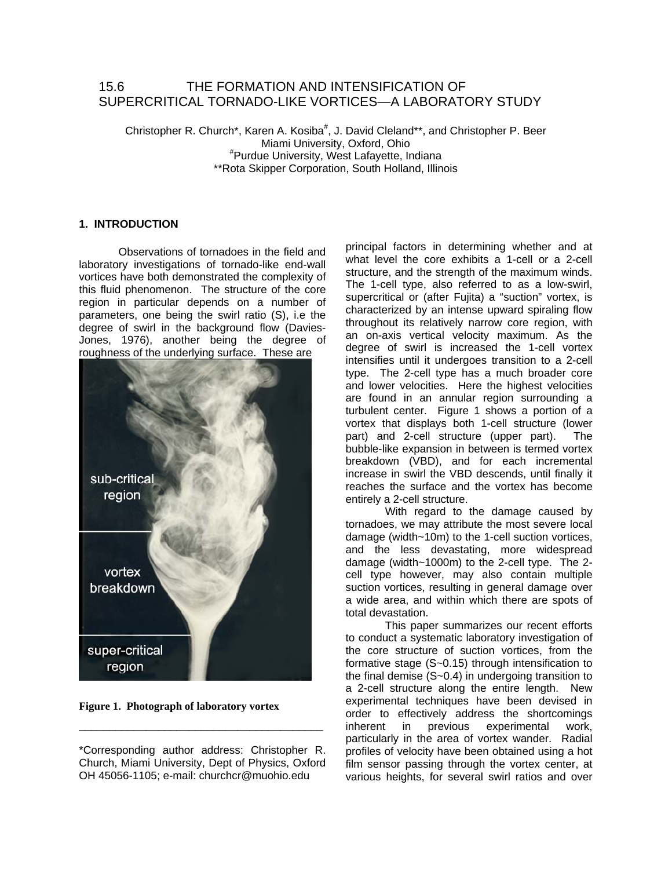# 15.6 THE FORMATION AND INTENSIFICATION OF SUPERCRITICAL TORNADO-LIKE VORTICES—A LABORATORY STUDY

Christopher R. Church\*, Karen A. Kosiba<sup>#</sup>, J. David Cleland\*\*, and Christopher P. Beer Miami University, Oxford, Ohio # Purdue University, West Lafayette, Indiana \*\*Rota Skipper Corporation, South Holland, Illinois

## **1. INTRODUCTION**

Observations of tornadoes in the field and laboratory investigations of tornado-like end-wall vortices have both demonstrated the complexity of this fluid phenomenon. The structure of the core region in particular depends on a number of parameters, one being the swirl ratio (S), i.e the degree of swirl in the background flow (Davies-Jones, 1976), another being the degree of roughness of the underlying surface. These are



**Figure 1. Photograph of laboratory vortex**

\_\_\_\_\_\_\_\_\_\_\_\_\_\_\_\_\_\_\_\_\_\_\_\_\_\_\_\_\_\_\_\_\_\_\_\_\_\_\_\_

principal factors in determining whether and at what level the core exhibits a 1-cell or a 2-cell structure, and the strength of the maximum winds. The 1-cell type, also referred to as a low-swirl, supercritical or (after Fujita) a "suction" vortex, is characterized by an intense upward spiraling flow throughout its relatively narrow core region, with an on-axis vertical velocity maximum. As the degree of swirl is increased the 1-cell vortex intensifies until it undergoes transition to a 2-cell type. The 2-cell type has a much broader core and lower velocities. Here the highest velocities are found in an annular region surrounding a turbulent center. Figure 1 shows a portion of a vortex that displays both 1-cell structure (lower part) and 2-cell structure (upper part). The bubble-like expansion in between is termed vortex breakdown (VBD), and for each incremental increase in swirl the VBD descends, until finally it reaches the surface and the vortex has become entirely a 2-cell structure.

With regard to the damage caused by tornadoes, we may attribute the most severe local damage (width~10m) to the 1-cell suction vortices, and the less devastating, more widespread damage (width~1000m) to the 2-cell type. The 2 cell type however, may also contain multiple suction vortices, resulting in general damage over a wide area, and within which there are spots of total devastation.

 This paper summarizes our recent efforts to conduct a systematic laboratory investigation of the core structure of suction vortices, from the formative stage (S~0.15) through intensification to the final demise (S~0.4) in undergoing transition to a 2-cell structure along the entire length. New experimental techniques have been devised in order to effectively address the shortcomings inherent in previous experimental work, particularly in the area of vortex wander. Radial profiles of velocity have been obtained using a hot film sensor passing through the vortex center, at various heights, for several swirl ratios and over

<sup>\*</sup>Corresponding author address: Christopher R. Church, Miami University, Dept of Physics, Oxford OH 45056-1105; e-mail: churchcr@muohio.edu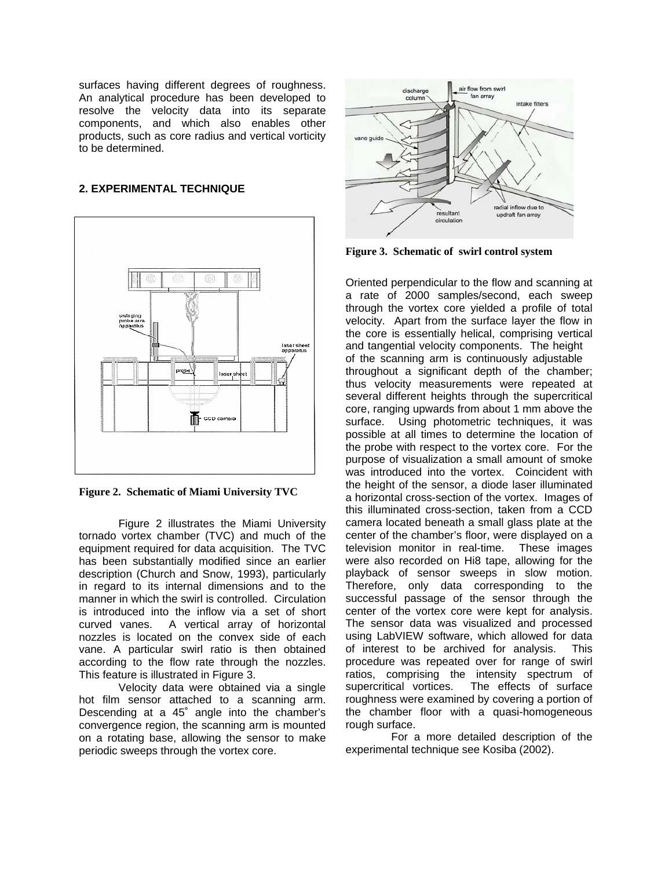surfaces having different degrees of roughness. An analytical procedure has been developed to resolve the velocity data into its separate components, and which also enables other products, such as core radius and vertical vorticity to be determined.

## **2. EXPERIMENTAL TECHNIQUE**



**Figure 2. Schematic of Miami University TVC** 

Figure 2 illustrates the Miami University tornado vortex chamber (TVC) and much of the equipment required for data acquisition. The TVC has been substantially modified since an earlier description (Church and Snow, 1993), particularly in regard to its internal dimensions and to the manner in which the swirl is controlled. Circulation is introduced into the inflow via a set of short curved vanes. A vertical array of horizontal nozzles is located on the convex side of each vane. A particular swirl ratio is then obtained according to the flow rate through the nozzles. This feature is illustrated in Figure 3.

Velocity data were obtained via a single hot film sensor attached to a scanning arm. Descending at a 45˚ angle into the chamber's convergence region, the scanning arm is mounted on a rotating base, allowing the sensor to make periodic sweeps through the vortex core.



**Figure 3. Schematic of swirl control system**

Oriented perpendicular to the flow and scanning at a rate of 2000 samples/second, each sweep through the vortex core yielded a profile of total velocity. Apart from the surface layer the flow in the core is essentially helical, comprising vertical and tangential velocity components. The height of the scanning arm is continuously adjustable throughout a significant depth of the chamber; thus velocity measurements were repeated at several different heights through the supercritical core, ranging upwards from about 1 mm above the surface. Using photometric techniques, it was possible at all times to determine the location of the probe with respect to the vortex core. For the purpose of visualization a small amount of smoke was introduced into the vortex. Coincident with the height of the sensor, a diode laser illuminated a horizontal cross-section of the vortex. Images of this illuminated cross-section, taken from a CCD camera located beneath a small glass plate at the center of the chamber's floor, were displayed on a television monitor in real-time. These images were also recorded on Hi8 tape, allowing for the playback of sensor sweeps in slow motion. Therefore, only data corresponding to the successful passage of the sensor through the center of the vortex core were kept for analysis. The sensor data was visualized and processed using LabVIEW software, which allowed for data of interest to be archived for analysis. This procedure was repeated over for range of swirl ratios, comprising the intensity spectrum of supercritical vortices. The effects of surface roughness were examined by covering a portion of the chamber floor with a quasi-homogeneous rough surface.

 For a more detailed description of the experimental technique see Kosiba (2002).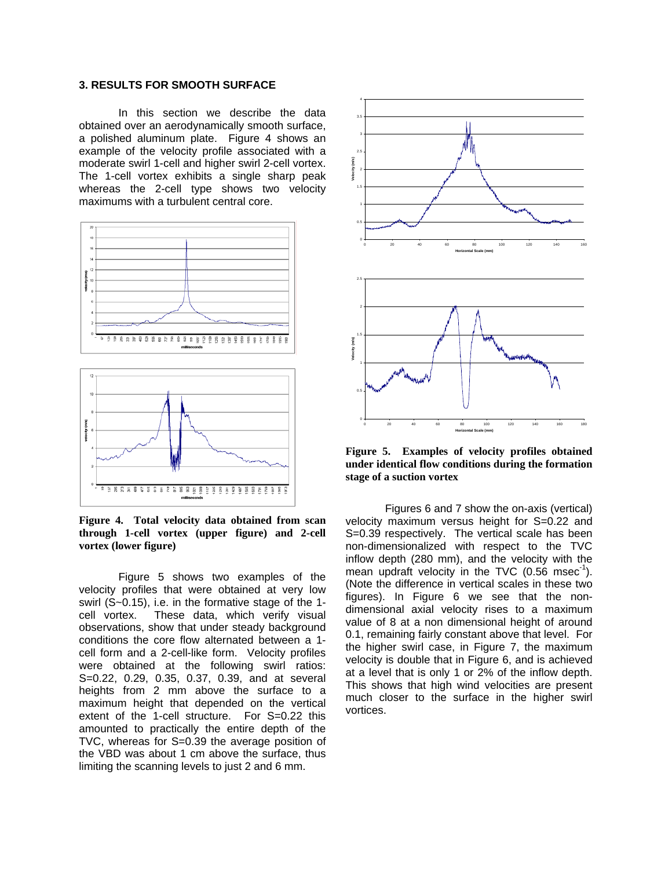### **3. RESULTS FOR SMOOTH SURFACE**

In this section we describe the data obtained over an aerodynamically smooth surface, a polished aluminum plate. Figure 4 shows an example of the velocity profile associated with a moderate swirl 1-cell and higher swirl 2-cell vortex. The 1-cell vortex exhibits a single sharp peak whereas the 2-cell type shows two velocity maximums with a turbulent central core.



**Figure 4. Total velocity data obtained from scan through 1-cell vortex (upper figure) and 2-cell vortex (lower figure)**

Figure 5 shows two examples of the velocity profiles that were obtained at very low swirl (S~0.15), i.e. in the formative stage of the 1 cell vortex. These data, which verify visual observations, show that under steady background conditions the core flow alternated between a 1 cell form and a 2-cell-like form. Velocity profiles were obtained at the following swirl ratios: S=0.22, 0.29, 0.35, 0.37, 0.39, and at several heights from 2 mm above the surface to a maximum height that depended on the vertical extent of the 1-cell structure. For S=0.22 this amounted to practically the entire depth of the TVC, whereas for S=0.39 the average position of the VBD was about 1 cm above the surface, thus limiting the scanning levels to just 2 and 6 mm.



**Figure 5. Examples of velocity profiles obtained under identical flow conditions during the formation stage of a suction vortex**

Figures 6 and 7 show the on-axis (vertical) velocity maximum versus height for S=0.22 and S=0.39 respectively. The vertical scale has been non-dimensionalized with respect to the TVC inflow depth (280 mm), and the velocity with the mean updraft velocity in the TVC  $(0.56 \text{ msec}^1)$ . (Note the difference in vertical scales in these two figures). In Figure 6 we see that the nondimensional axial velocity rises to a maximum value of 8 at a non dimensional height of around 0.1, remaining fairly constant above that level. For the higher swirl case, in Figure 7, the maximum velocity is double that in Figure 6, and is achieved at a level that is only 1 or 2% of the inflow depth. This shows that high wind velocities are present much closer to the surface in the higher swirl vortices.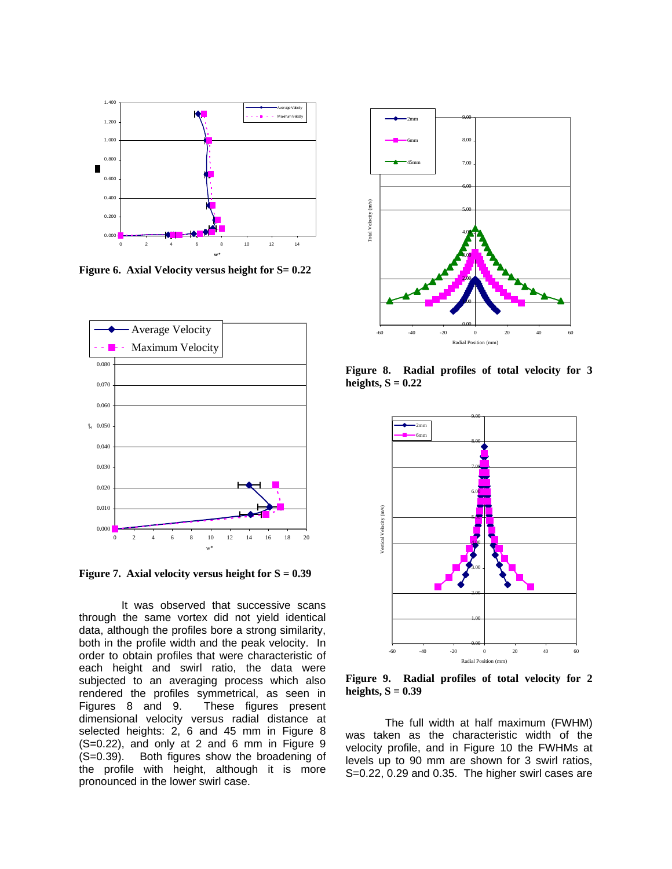

**Figure 6. Axial Velocity versus height for S= 0.22**



**Figure 7. Axial velocity versus height for S = 0.39**

 It was observed that successive scans through the same vortex did not yield identical data, although the profiles bore a strong similarity, both in the profile width and the peak velocity. In order to obtain profiles that were characteristic of each height and swirl ratio, the data were subjected to an averaging process which also rendered the profiles symmetrical, as seen in Figures 8 and 9. These figures present dimensional velocity versus radial distance at selected heights: 2, 6 and 45 mm in Figure 8 (S=0.22), and only at 2 and 6 mm in Figure 9 (S=0.39). Both figures show the broadening of the profile with height, although it is more pronounced in the lower swirl case.



**Figure 8. Radial profiles of total velocity for 3**  heights,  $S = 0.22$ 



**Figure 9. Radial profiles of total velocity for 2 heights, S = 0.39** 

The full width at half maximum (FWHM) was taken as the characteristic width of the velocity profile, and in Figure 10 the FWHMs at levels up to 90 mm are shown for 3 swirl ratios, S=0.22, 0.29 and 0.35. The higher swirl cases are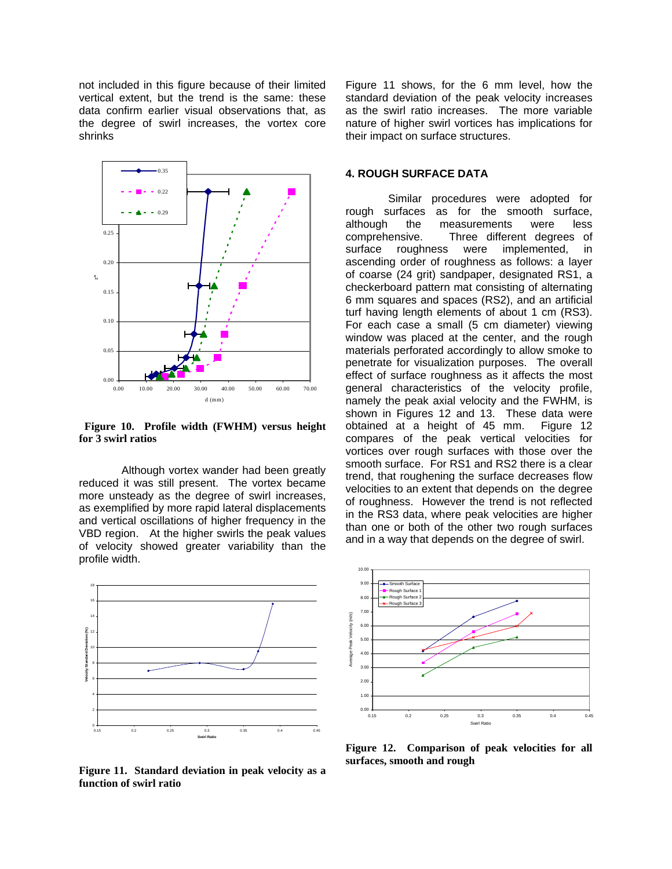not included in this figure because of their limited vertical extent, but the trend is the same: these data confirm earlier visual observations that, as the degree of swirl increases, the vortex core shrinks



 **Figure 10. Profile width (FWHM) versus height for 3 swirl ratios**

 Although vortex wander had been greatly reduced it was still present. The vortex became more unsteady as the degree of swirl increases, as exemplified by more rapid lateral displacements and vertical oscillations of higher frequency in the VBD region. At the higher swirls the peak values of velocity showed greater variability than the profile width.



**Figure 11. Standard deviation in peak velocity as a function of swirl ratio**

Figure 11 shows, for the 6 mm level, how the standard deviation of the peak velocity increases as the swirl ratio increases. The more variable nature of higher swirl vortices has implications for their impact on surface structures.

#### **4. ROUGH SURFACE DATA**

 Similar procedures were adopted for rough surfaces as for the smooth surface, although the measurements were less comprehensive. Three different degrees of surface roughness were implemented, in ascending order of roughness as follows: a layer of coarse (24 grit) sandpaper, designated RS1, a checkerboard pattern mat consisting of alternating 6 mm squares and spaces (RS2), and an artificial turf having length elements of about 1 cm (RS3). For each case a small (5 cm diameter) viewing window was placed at the center, and the rough materials perforated accordingly to allow smoke to penetrate for visualization purposes. The overall effect of surface roughness as it affects the most general characteristics of the velocity profile, namely the peak axial velocity and the FWHM, is shown in Figures 12 and 13. These data were obtained at a height of 45 mm. Figure 12 compares of the peak vertical velocities for vortices over rough surfaces with those over the smooth surface. For RS1 and RS2 there is a clear trend, that roughening the surface decreases flow velocities to an extent that depends on the degree of roughness. However the trend is not reflected in the RS3 data, where peak velocities are higher than one or both of the other two rough surfaces and in a way that depends on the degree of swirl.



**Figure 12. Comparison of peak velocities for all surfaces, smooth and rough**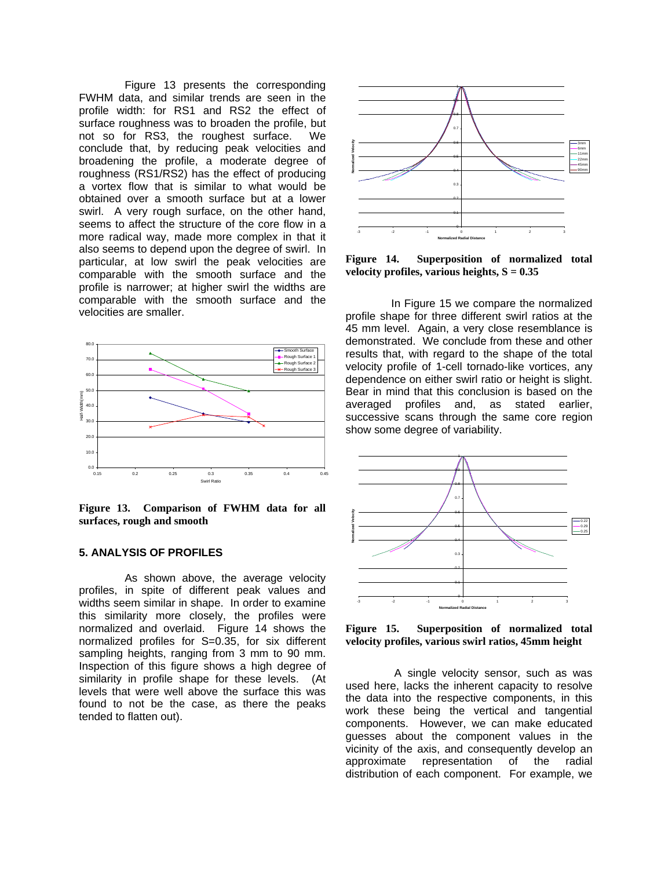Figure 13 presents the corresponding FWHM data, and similar trends are seen in the profile width: for RS1 and RS2 the effect of surface roughness was to broaden the profile, but not so for RS3, the roughest surface. We conclude that, by reducing peak velocities and broadening the profile, a moderate degree of roughness (RS1/RS2) has the effect of producing a vortex flow that is similar to what would be obtained over a smooth surface but at a lower swirl. A very rough surface, on the other hand, seems to affect the structure of the core flow in a more radical way, made more complex in that it also seems to depend upon the degree of swirl. In particular, at low swirl the peak velocities are comparable with the smooth surface and the profile is narrower; at higher swirl the widths are comparable with the smooth surface and the velocities are smaller.



**Figure 13. Comparison of FWHM data for all surfaces, rough and smooth**

### **5. ANALYSIS OF PROFILES**

 As shown above, the average velocity profiles, in spite of different peak values and widths seem similar in shape. In order to examine this similarity more closely, the profiles were normalized and overlaid. Figure 14 shows the normalized profiles for S=0.35, for six different sampling heights, ranging from 3 mm to 90 mm. Inspection of this figure shows a high degree of similarity in profile shape for these levels. (At levels that were well above the surface this was found to not be the case, as there the peaks tended to flatten out).



**Figure 14. Superposition of normalized total**  velocity profiles, various heights,  $S = 0.35$ 

 In Figure 15 we compare the normalized profile shape for three different swirl ratios at the 45 mm level. Again, a very close resemblance is demonstrated. We conclude from these and other results that, with regard to the shape of the total velocity profile of 1-cell tornado-like vortices, any dependence on either swirl ratio or height is slight. Bear in mind that this conclusion is based on the averaged profiles and, as stated earlier, successive scans through the same core region show some degree of variability.



**Figure 15. Superposition of normalized total velocity profiles, various swirl ratios, 45mm height**

 A single velocity sensor, such as was used here, lacks the inherent capacity to resolve the data into the respective components, in this work these being the vertical and tangential components. However, we can make educated guesses about the component values in the vicinity of the axis, and consequently develop an approximate representation of the radial distribution of each component. For example, we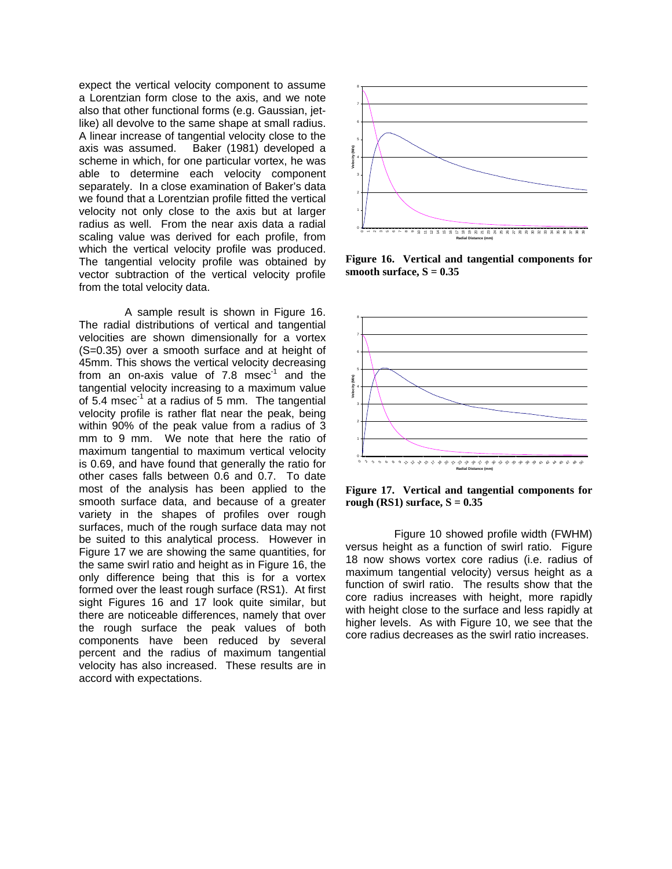expect the vertical velocity component to assume a Lorentzian form close to the axis, and we note also that other functional forms (e.g. Gaussian, jetlike) all devolve to the same shape at small radius. A linear increase of tangential velocity close to the axis was assumed. Baker (1981) developed a scheme in which, for one particular vortex, he was able to determine each velocity component separately. In a close examination of Baker's data we found that a Lorentzian profile fitted the vertical velocity not only close to the axis but at larger radius as well. From the near axis data a radial scaling value was derived for each profile, from which the vertical velocity profile was produced. The tangential velocity profile was obtained by vector subtraction of the vertical velocity profile from the total velocity data.

 A sample result is shown in Figure 16. The radial distributions of vertical and tangential velocities are shown dimensionally for a vortex (S=0.35) over a smooth surface and at height of 45mm. This shows the vertical velocity decreasing from an on-axis value of  $7.8$  msec<sup>-1</sup> and the tangential velocity increasing to a maximum value of  $5.4 \text{ msec}^{-1}$  at a radius of 5 mm. The tangential velocity profile is rather flat near the peak, being within 90% of the peak value from a radius of 3 mm to 9 mm. We note that here the ratio of maximum tangential to maximum vertical velocity is 0.69, and have found that generally the ratio for other cases falls between 0.6 and 0.7. To date most of the analysis has been applied to the smooth surface data, and because of a greater variety in the shapes of profiles over rough surfaces, much of the rough surface data may not be suited to this analytical process. However in Figure 17 we are showing the same quantities, for the same swirl ratio and height as in Figure 16, the only difference being that this is for a vortex formed over the least rough surface (RS1). At first sight Figures 16 and 17 look quite similar, but there are noticeable differences, namely that over the rough surface the peak values of both components have been reduced by several percent and the radius of maximum tangential velocity has also increased. These results are in accord with expectations.



**Figure 16. Vertical and tangential components for**  smooth surface,  $S = 0.35$ 



**Figure 17. Vertical and tangential components for**  rough  $(RS1)$  surface,  $S = 0.35$ 

 Figure 10 showed profile width (FWHM) versus height as a function of swirl ratio. Figure 18 now shows vortex core radius (i.e. radius of maximum tangential velocity) versus height as a function of swirl ratio. The results show that the core radius increases with height, more rapidly with height close to the surface and less rapidly at higher levels. As with Figure 10, we see that the core radius decreases as the swirl ratio increases.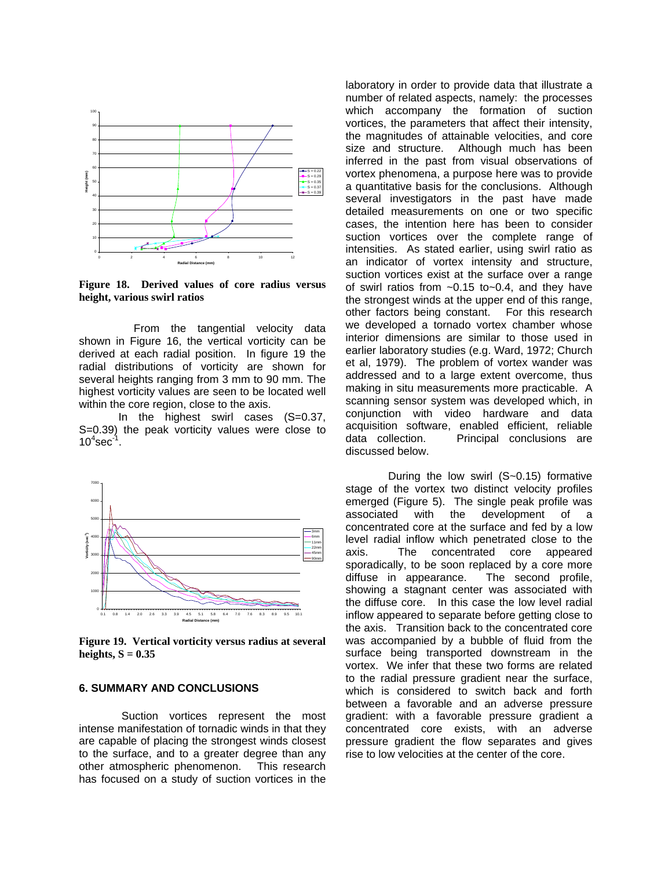

**Figure 18. Derived values of core radius versus height, various swirl ratios**

 From the tangential velocity data shown in Figure 16, the vertical vorticity can be derived at each radial position. In figure 19 the radial distributions of vorticity are shown for several heights ranging from 3 mm to 90 mm. The highest vorticity values are seen to be located well within the core region, close to the axis.

In the highest swirl cases (S=0.37, S=0.39) the peak vorticity values were close to  $10^4$ sec $^{-1}$ .



**Figure 19. Vertical vorticity versus radius at several**  heights,  $S = 0.35$ 

### **6. SUMMARY AND CONCLUSIONS**

 Suction vortices represent the most intense manifestation of tornadic winds in that they are capable of placing the strongest winds closest to the surface, and to a greater degree than any other atmospheric phenomenon. This research has focused on a study of suction vortices in the

laboratory in order to provide data that illustrate a number of related aspects, namely: the processes which accompany the formation of suction vortices, the parameters that affect their intensity, the magnitudes of attainable velocities, and core size and structure. Although much has been inferred in the past from visual observations of vortex phenomena, a purpose here was to provide a quantitative basis for the conclusions. Although several investigators in the past have made detailed measurements on one or two specific cases, the intention here has been to consider suction vortices over the complete range of intensities. As stated earlier, using swirl ratio as an indicator of vortex intensity and structure, suction vortices exist at the surface over a range of swirl ratios from  $\sim 0.15$  to $\sim 0.4$ , and they have the strongest winds at the upper end of this range, other factors being constant. For this research we developed a tornado vortex chamber whose interior dimensions are similar to those used in earlier laboratory studies (e.g. Ward, 1972; Church et al, 1979). The problem of vortex wander was addressed and to a large extent overcome, thus making in situ measurements more practicable. A scanning sensor system was developed which, in conjunction with video hardware and data acquisition software, enabled efficient, reliable data collection. Principal conclusions are discussed below.

 During the low swirl (S~0.15) formative stage of the vortex two distinct velocity profiles emerged (Figure 5). The single peak profile was associated with the development of a concentrated core at the surface and fed by a low level radial inflow which penetrated close to the axis. The concentrated core appeared sporadically, to be soon replaced by a core more diffuse in appearance. The second profile, showing a stagnant center was associated with the diffuse core. In this case the low level radial inflow appeared to separate before getting close to the axis. Transition back to the concentrated core was accompanied by a bubble of fluid from the surface being transported downstream in the vortex. We infer that these two forms are related to the radial pressure gradient near the surface, which is considered to switch back and forth between a favorable and an adverse pressure gradient: with a favorable pressure gradient a concentrated core exists, with an adverse pressure gradient the flow separates and gives rise to low velocities at the center of the core.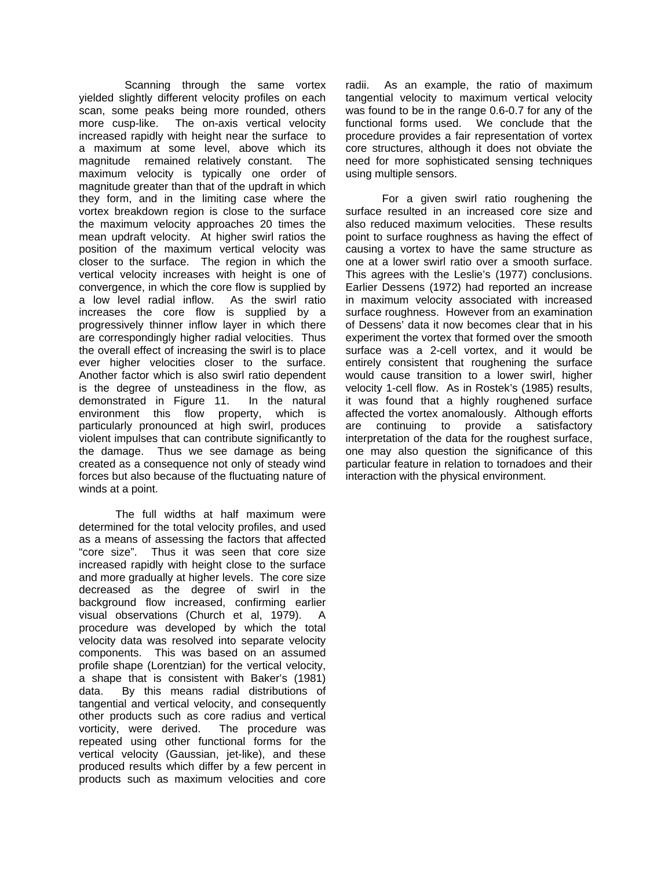Scanning through the same vortex yielded slightly different velocity profiles on each scan, some peaks being more rounded, others more cusp-like. The on-axis vertical velocity increased rapidly with height near the surface to a maximum at some level, above which its magnitude remained relatively constant. The maximum velocity is typically one order of magnitude greater than that of the updraft in which they form, and in the limiting case where the vortex breakdown region is close to the surface the maximum velocity approaches 20 times the mean updraft velocity. At higher swirl ratios the position of the maximum vertical velocity was closer to the surface. The region in which the vertical velocity increases with height is one of convergence, in which the core flow is supplied by a low level radial inflow. As the swirl ratio increases the core flow is supplied by a progressively thinner inflow layer in which there are correspondingly higher radial velocities. Thus the overall effect of increasing the swirl is to place ever higher velocities closer to the surface. Another factor which is also swirl ratio dependent is the degree of unsteadiness in the flow, as demonstrated in Figure 11. In the natural environment this flow property, which is particularly pronounced at high swirl, produces violent impulses that can contribute significantly to the damage. Thus we see damage as being created as a consequence not only of steady wind forces but also because of the fluctuating nature of winds at a point.

 The full widths at half maximum were determined for the total velocity profiles, and used as a means of assessing the factors that affected "core size". Thus it was seen that core size increased rapidly with height close to the surface and more gradually at higher levels. The core size decreased as the degree of swirl in the background flow increased, confirming earlier visual observations (Church et al, 1979). A procedure was developed by which the total velocity data was resolved into separate velocity components. This was based on an assumed profile shape (Lorentzian) for the vertical velocity, a shape that is consistent with Baker's (1981) data. By this means radial distributions of tangential and vertical velocity, and consequently other products such as core radius and vertical vorticity, were derived. The procedure was repeated using other functional forms for the vertical velocity (Gaussian, jet-like), and these produced results which differ by a few percent in products such as maximum velocities and core

radii. As an example, the ratio of maximum tangential velocity to maximum vertical velocity was found to be in the range 0.6-0.7 for any of the functional forms used. We conclude that the procedure provides a fair representation of vortex core structures, although it does not obviate the need for more sophisticated sensing techniques using multiple sensors.

 For a given swirl ratio roughening the surface resulted in an increased core size and also reduced maximum velocities. These results point to surface roughness as having the effect of causing a vortex to have the same structure as one at a lower swirl ratio over a smooth surface. This agrees with the Leslie's (1977) conclusions. Earlier Dessens (1972) had reported an increase in maximum velocity associated with increased surface roughness. However from an examination of Dessens' data it now becomes clear that in his experiment the vortex that formed over the smooth surface was a 2-cell vortex, and it would be entirely consistent that roughening the surface would cause transition to a lower swirl, higher velocity 1-cell flow. As in Rostek's (1985) results, it was found that a highly roughened surface affected the vortex anomalously. Although efforts are continuing to provide a satisfactory interpretation of the data for the roughest surface, one may also question the significance of this particular feature in relation to tornadoes and their interaction with the physical environment.